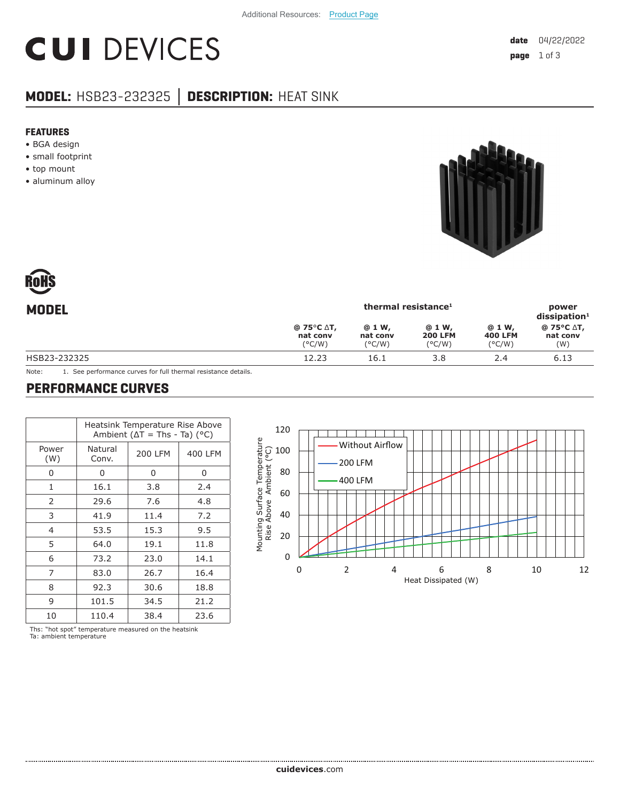# **CUI DEVICES**

### **MODEL:** HSB23-232325 **│ DESCRIPTION:** HEAT SINK

#### **FEATURES**

- BGA design
- small footprint
- top mount
- aluminum alloy





| <b>MODEL</b> | thermal resistance <sup>1</sup>  |                                        |                                             |                                              | power<br>dissigmoid <sup>1</sup> |  |
|--------------|----------------------------------|----------------------------------------|---------------------------------------------|----------------------------------------------|----------------------------------|--|
|              | @ 75°C ∆T,<br>nat conv<br>(°C/W) | @ 1 W,<br>nat conv<br>$(^{\circ}$ C/W) | @ 1 W,<br><b>200 LFM</b><br>$(^{\circ}C/W)$ | @ 1 W,<br><b>400 LFM</b><br>$(^{\circ}$ C/W) | @ 75°C ∆T,<br>nat conv<br>(W)    |  |
| HSB23-232325 | 12.23                            | 16.1                                   | 3.8                                         | 2.4                                          | 6.13                             |  |
|              |                                  |                                        |                                             |                                              |                                  |  |

Note: 1. See performance curves for full thermal resistance details.

#### **PERFORMANCE CURVES**

|                | Heatsink Temperature Rise Above<br>Ambient ( $\Delta T$ = Ths - Ta) ( $^{\circ}$ C) |         |         |  |  |
|----------------|-------------------------------------------------------------------------------------|---------|---------|--|--|
| Power<br>(W)   | Natural<br>Conv.                                                                    | 200 LFM | 400 LFM |  |  |
| 0              | 0                                                                                   | 0       | 0       |  |  |
| $\mathbf{1}$   | 16.1                                                                                | 3.8     | 2.4     |  |  |
| 2              | 29.6                                                                                | 7.6     | 4.8     |  |  |
| 3              | 41.9                                                                                | 11.4    | 7.2     |  |  |
| $\overline{4}$ | 53.5                                                                                | 15.3    | 9.5     |  |  |
| 5              | 64.0                                                                                | 19.1    | 11.8    |  |  |
| 6              | 73.2                                                                                | 23.0    | 14.1    |  |  |
| 7              | 83.0                                                                                | 26.7    | 16.4    |  |  |
| 8              | 92.3                                                                                | 30.6    | 18.8    |  |  |
| 9              | 101.5                                                                               | 34.5    | 21.2    |  |  |
| 10             | 110.4                                                                               | 38.4    | 23.6    |  |  |

120  $\overline{\phantom{a}}$ Mounting Surface Temperature Without Airflow Rise Above Ambient (°C) 100 200 LFM 80 400 LFM 60 40 20 0 0246 8 10 12 Heat Dissipated (W)

Ths: "hot spot" temperature measured on the heatsink Ta: ambient temperature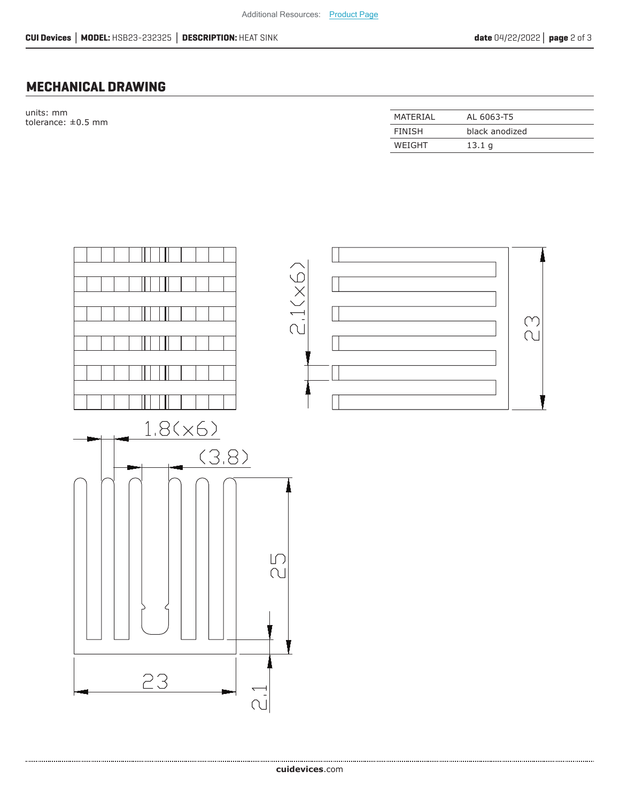#### **MECHANICAL DRAWING**

units: mm tolerance:  $\pm 0.5$  mm

| MATFRIAI | AL 6063-T5        |
|----------|-------------------|
| FINISH   | black anodized    |
| WEIGHT   | 13.1 <sub>q</sub> |